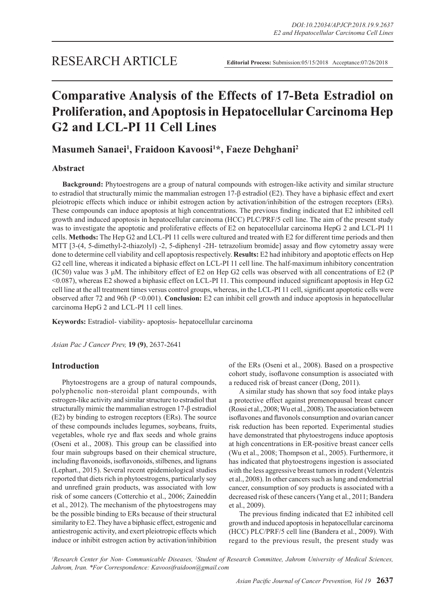# **Comparative Analysis of the Effects of 17-Beta Estradiol on Proliferation, and Apoptosis in Hepatocellular Carcinoma Hep G2 and LCL-PI 11 Cell Lines**

# **Masumeh Sanaei1 , Fraidoon Kavoosi1 \*, Faeze Dehghani2**

## **Abstract**

**Background:** Phytoestrogens are a group of natural compounds with estrogen-like activity and similar structure to estradiol that structurally mimic the mammalian estrogen 17-β estradiol (E2). They have a biphasic effect and exert pleiotropic effects which induce or inhibit estrogen action by activation/inhibition of the estrogen receptors (ERs). These compounds can induce apoptosis at high concentrations. The previous finding indicated that E2 inhibited cell growth and induced apoptosis in hepatocellular carcinoma (HCC) PLC/PRF/5 cell line. The aim of the present study was to investigate the apoptotic and proliferative effects of E2 on hepatocellular carcinoma HepG 2 and LCL-PI 11 cells. **Methods:** The Hep G2 and LCL-PI 11 cells were cultured and treated with E2 for different time periods and then MTT [3-(4, 5-dimethyl-2-thiazolyl) -2, 5-diphenyl -2H- tetrazolium bromide] assay and flow cytometry assay were done to determine cell viability and cell apoptosis respectively. **Results:** E2 had inhibitory and apoptotic effects on Hep G2 cell line, whereas it indicated a biphasic effect on LCL-PI 11 cell line. The half-maximum inhibitory concentration (IC50) value was 3 μM. The inhibitory effect of E2 on Hep G2 cells was observed with all concentrations of E2 (P <0.087), whereas E2 showed a biphasic effect on LCL-PI 11. This compound induced significant apoptosis in Hep G2 cell line at the all treatment times versus control groups, whereas, in the LCL-PI 11 cell, significant apoptotic cells were observed after 72 and 96h (P <0.001). **Conclusion:** E2 can inhibit cell growth and induce apoptosis in hepatocellular carcinoma HepG 2 and LCL-PI 11 cell lines.

**Keywords:** Estradiol- viability- apoptosis- hepatocellular carcinoma

*Asian Pac J Cancer Prev,* **19 (9)**, 2637-2641

## **Introduction**

Phytoestrogens are a group of natural compounds, polyphenolic non-steroidal plant compounds, with estrogen-like activity and similar structure to estradiol that structurally mimic the mammalian estrogen 17-β estradiol (E2) by binding to estrogen receptors (ERs). The source of these compounds includes legumes, soybeans, fruits, vegetables, whole rye and flax seeds and whole grains (Oseni et al., 2008). This group can be classified into four main subgroups based on their chemical structure, including flavonoids, isoflavonoids, stilbenes, and lignans (Lephart., 2015). Several recent epidemiological studies reported that diets rich in phytoestrogens, particularly soy and unrefined grain products, was associated with low risk of some cancers (Cotterchio et al., 2006; Zaineddin et al., 2012). The mechanism of the phytoestrogens may be the possible binding to ERs because of their structural similarity to E2. They have a biphasic effect, estrogenic and antiestrogenic activity, and exert pleiotropic effects which induce or inhibit estrogen action by activation/inhibition

of the ERs (Oseni et al., 2008). Based on a prospective cohort study, isoflavone consumption is associated with a reduced risk of breast cancer (Dong, 2011).

A similar study has shown that soy food intake plays a protective effect against premenopausal breast cancer (Rossi et al., 2008; Wu et al., 2008). The association between isoflavones and flavonols consumption and ovarian cancer risk reduction has been reported. Experimental studies have demonstrated that phytoestrogens induce apoptosis at high concentrations in ER-positive breast cancer cells (Wu et al., 2008; Thompson et al., 2005). Furthermore, it has indicated that phytoestrogens ingestion is associated with the less aggressive breast tumors in rodent (Velentzis et al., 2008). In other cancers such as lung and endometrial cancer, consumption of soy products is associated with a decreased risk of these cancers (Yang et al., 2011; Bandera et al., 2009).

The previous finding indicated that E2 inhibited cell growth and induced apoptosis in hepatocellular carcinoma (HCC) PLC/PRF/5 cell line (Bandera et al., 2009). With regard to the previous result, the present study was

<sup>1</sup> Research Center for Non- Communicable Diseases, <sup>2</sup>Student of Research Committee, Jahrom University of Medical Sciences, *Jahrom, Iran. \*For Correspondence: Kavoosifraidoon@gmail.com*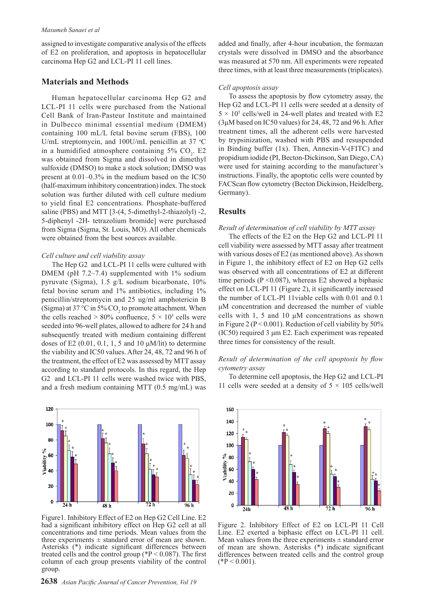assigned to investigate comparative analysis of the effects of E2 on proliferation, and apoptosis in hepatocellular carcinoma Hep G2 and LCL-PI 11 cell lines.

#### **Materials and Methods**

Human hepatocellular carcinoma Hep G2 and LCL-PI 11 cells were purchased from the National Cell Bank of Iran-Pasteur Institute and maintained in Dulbecco minimal essential medium (DMEM) containing 100 mL/L fetal bovine serum (FBS), 100 U/mL streptomycin, and  $100$ U/mL penicillin at 37  $\degree$ C in a humidified atmosphere containing  $5\%$  CO<sub>2</sub>. E2 was obtained from Sigma and dissolved in dimethyl sulfoxide (DMSO) to make a stock solution; DMSO was present at 0.01–0.3% in the medium based on the IC50 (half-maximum inhibitory concentration) index. The stock solution was further diluted with cell culture medium to yield final E2 concentrations. Phosphate-buffered saline (PBS) and MTT [3-(4, 5-dimethyl-2-thiazolyl) -2, 5-diphenyl -2H- tetrazolium bromide] were purchased from Sigma (Sigma, St. Louis, MO). All other chemicals were obtained from the best sources available.

#### *Cell culture and cell viability assay*

The Hep G2 and LCL-PI 11 cells were cultured with DMEM (pH 7.2–7.4) supplemented with 1% sodium pyruvate (Sigma), 1.5 g/L sodium bicarbonate, 10% fetal bovine serum and 1% antibiotics, including 1% penicillin/streptomycin and 25 ug/ml amphotericin B (Sigma) at 37 °C in 5%  $CO_2$  to promote attachment. When the cells reached  $> 80\%$  confluence,  $5 \times 10^5$  cells were seeded into 96-well plates, allowed to adhere for 24 h and subsequently treated with medium containing different doses of E2  $(0.01, 0.1, 1, 5$  and 10  $\mu$ M/lit) to determine the viability and IC50 values. After 24, 48, 72 and 96 h of the treatment, the effect of E2 was assessed by MTT assay according to standard protocols. In this regard, the Hep G2 and LCL-PI 11 cells were washed twice with PBS, and a fresh medium containing MTT (0.5 mg/mL) was



Figure1. Inhibitory Effect of E2 on Hep G2 Cell Line. E2 had a significant inhibitory effect on Hep G2 cell at all concentrations and time periods. Mean values from the three experiments  $\pm$  standard error of mean are shown. Asterisks (\*) indicate significant differences between treated cells and the control group ( $P < 0.087$ ). The first column of each group presents viability of the control group.

added and finally, after 4-hour incubation, the formazan crystals were dissolved in DMSO and the absorbance was measured at 570 nm. All experiments were repeated three times, with at least three measurements (triplicates).

#### *Cell apoptosis assay*

To assess the apoptosis by flow cytometry assay, the Hep G2 and LCL-PI 11 cells were seeded at a density of  $5 \times 10^5$  cells/well in 24-well plates and treated with E2 (3μM based on IC50 values) for 24, 48, 72 and 96 h. After treatment times, all the adherent cells were harvested by trypsinization, washed with PBS and resuspended in Binding buffer (1x). Then, Annexin-V-(FITC) and propidium iodide (PI, Becton-Dickinson, San Diego, CA) were used for staining according to the manufacturer's instructions. Finally, the apoptotic cells were counted by FACScan flow cytometry (Becton Dickinson, Heidelberg, Germany).

# **Results**

#### *Result of determination of cell viability by MTT assay*

The effects of the E2 on the Hep G2 and LCL-PI 11 cell viability were assessed by MTT assay after treatment with various doses of E2 (as mentioned above). As shown in Figure 1, the inhibitory effect of E2 on Hep G2 cells was observed with all concentrations of E2 at different time periods ( $P \le 0.087$ ), whereas E2 showed a biphasic effect on LCL-PI 11 (Figure 2), it significantly increased the number of LCL-PI 11viable cells with 0.01 and 0.1 μM concentration and decreased the number of viable cells with 1, 5 and 10 μM concentrations as shown in Figure 2 ( $P < 0.001$ ). Reduction of cell viability by 50% (IC50) required 3 μm E2. Each experiment was repeated three times for consistency of the result.

#### *Result of determination of the cell apoptosis by flow cytometry assay*

To determine cell apoptosis, the Hep G2 and LCL-PI 11 cells were seeded at a density of  $5 \times 105$  cells/well



Figure 2. Inhibitory Effect of E2 on LCL-PI 11 Cell Line. E2 exerted a biphasic effect on LCL-PI 11 cell. Mean values from the three experiments  $\pm$  standard error of mean are shown. Asterisks (\*) indicate significant differences between treated cells and the control group  $(*P < 0.001).$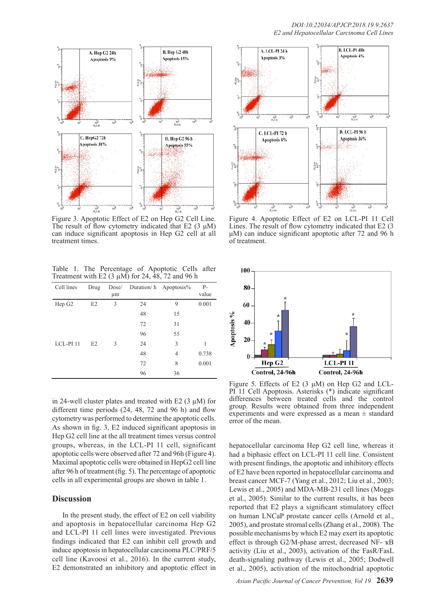

Figure 3. Apoptotic Effect of E2 on Hep G2 Cell Line. The result of flow cytometry indicated that E2  $(3 \mu M)$ can induce significant apoptosis in Hep G2 cell at all treatment times.

Table 1. The Percentage of Apoptotic Cells after Treatment with E2  $(3 \mu M)$  for 24, 48, 72 and 96 h

| Cell lines           | Drug           | Dose/<br>μm   |    | Duration/h Apoptosis% | $P -$<br>value |
|----------------------|----------------|---------------|----|-----------------------|----------------|
| Hep G <sub>2</sub>   | E <sub>2</sub> | 3             | 24 | 9                     | 0.001          |
|                      |                |               | 48 | 15                    |                |
|                      |                |               | 72 | 31                    |                |
|                      |                |               | 96 | 55                    |                |
| LCL-PI <sub>11</sub> | E2             | $\mathcal{R}$ | 24 | 3                     | 1              |
|                      |                |               | 48 | $\overline{4}$        | 0.738          |
|                      |                |               | 72 | 8                     | 0.001          |
|                      |                |               | 96 | 36                    |                |

in 24-well cluster plates and treated with E2  $(3 \mu M)$  for different time periods (24, 48, 72 and 96 h) and flow cytometry was performed to determine the apoptotic cells. As shown in fig. 3, E2 induced significant apoptosis in Hep G2 cell line at the all treatment times versus control groups, whereas, in the LCL-PI 11 cell, significant apoptotic cells were observed after 72 and 96h (Figure 4). Maximal apoptotic cells were obtained in HepG2 cell line after 96 h of treatment (fig. 5). The percentage of apoptotic cells in all experimental groups are shown in table 1.

### **Discussion**

In the present study, the effect of E2 on cell viability and apoptosis in hepatocellular carcinoma Hep G2 and LCL-PI 11 cell lines were investigated. Previous findings indicated that E2 can inhibit cell growth and induce apoptosis in hepatocellular carcinoma PLC/PRF/5 cell line (Kavoosi et al., 2016). In the current study, E2 demonstrated an inhibitory and apoptotic effect in



Figure 4. Apoptotic Effect of E2 on LCL-PI 11 Cell Lines. The result of flow cytometry indicated that E2 (3 μM) can induce significant apoptotic after 72 and 96 h of treatment.



Figure 5. Effects of E2  $(3 \mu M)$  on Hep G2 and LCL-PI 11 Cell Apoptosis. Asterisks (\*) indicate significant differences between treated cells and the control group. Results were obtained from three independent experiments and were expressed as a mean  $\pm$  standard error of the mean.

hepatocellular carcinoma Hep G2 cell line, whereas it had a biphasic effect on LCL-PI 11 cell line. Consistent with present findings, the apoptotic and inhibitory effects of E2 have been reported in hepatocellular carcinoma and breast cancer MCF-7 (Yang et al., 2012; Liu et al., 2003; Lewis et al., 2005) and MDA-MB-231 cell lines (Moggs et al., 2005). Similar to the current results, it has been reported that E2 plays a significant stimulatory effect on human LNCaP prostate cancer cells (Arnold et al., 2005), and prostate stromal cells (Zhang et al., 2008). The possible mechanisms by which E2 may exert its apoptotic effect is through G2/M-phase arrest, decreased NF- ҡB activity (Liu et al., 2003), activation of the FasR/FasL death-signaling pathway (Lewis et al., 2005; Dodwell et al., 2005), activation of the mitochondrial apoptotic

*Asian Pacific Journal of Cancer Prevention, Vol 19* **2639**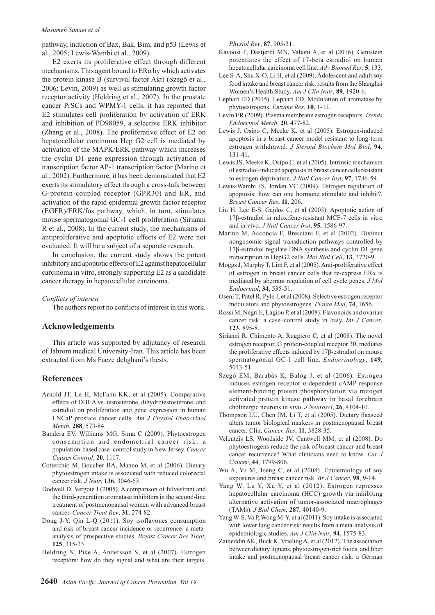#### *Masumeh Sanaei et al*

pathway, induction of Bax, Bak, Bim, and p53 (Lewis et al., 2005; Lewis-Wambi et al., 2009).

E2 exerts its proliferative effect through different mechanisms. This agent bound to ERα by which activates the protein kinase B (survival factor Akt) (Szegő et al., 2006; Levin, 2009) as well as stimulating growth factor receptor activity (Heldring et al., 2007). In the prostate cancer PrSCs and WPMY-1 cells, it has reported that E2 stimulates cell proliferation by activation of ERK and inhibition of PD98059, a selective ERK inhibitor (Zhang et al., 2008). The proliferative effect of E2 on hepatocellular carcinoma Hep G2 cell is mediated by activation of the MAPK/ERK pathway which increases the cyclin D1 gene expression through activation of transcription factor AP-1 transcription factor (Marino et al., 2002). Furthermore, it has been demonstrated that E2 exerts its stimulatory effect through a cross-talk between G-protein-coupled receptor (GPR30) and ER, and activation of the rapid epidermal growth factor receptor (EGFR)/ERK/fos pathway, which, in turn, stimulates mouse spermatogonial GC-1 cell proliferation (Sirianni R et al., 2008). In the current study, the mechanisms of antiproliferative and apoptotic effects of E2 were not evaluated. It will be a subject of a separate research.

In conclusion, the current study shows the potent inhibitory and apoptotic effects of E2 against hepatocellular carcinoma in vitro, strongly supporting E2 as a candidate cancer therapy in hepatocellular carcinoma.

#### *Conflicts of interest*

The authors report no conflicts of interest in this work.

#### **Acknowledgements**

This article was supported by adjutancy of research of Jahrom medical University-Iran. This article has been extracted from Ms Faeze dehghani's thesis.

#### **References**

- Arnold JT, Le H, McFann KK, et al (2005). Comparative effects of DHEA vs. testosterone, dihydrotestosterone, and estradiol on proliferation and gene expression in human LNCaP prostate cancer cells. *Am J Physiol Endocrinol Metab*, **288**, 573-84.
- Bandera EV, Williams MG, Sima C (2009). Phytoestrogen consumption and endometrial cancer risk: a population-based case–control study in New Jersey. *Cancer Causes Control*, **20**, 1117.
- Cotterchio M, Boucher BA, Manno M, et al (2006). Dietary phytoestrogen intake is associated with reduced colorectal cancer risk. *J Nutr*, **136**, 3046-53.
- Dodwell D, Vergote I (2005). A comparison of fulvestrant and the third-generation aromatase inhibitors in the second-line treatment of postmenopausal women with advanced breast cancer. *Cancer Treat Rev*, **31**, 274-82.
- Dong J-Y, Qin L-Q (2011). Soy isoflavones consumption and risk of breast cancer incidence or recurrence: a metaanalysis of prospective studies. *Breast Cancer Res Treat*, **125**, 315-23.
- Heldring N, Pike A, Andersson S, et al (2007). Estrogen receptors: how do they signal and what are their targets.

*Physiol Rev*, **87**, 905-31.

- Kavoosi F, Dastjerdi MN, Valiani A, et al (2016). Genistein potentiates the effect of 17-beta estradiol on human hepatocellular carcinoma cell line. *Adv Biomed Res*, **5**, 133.
- Lee S-A, Shu X-O, Li H, et al (2009). Adolescent and adult soy food intake and breast cancer risk: results from the Shanghai Women's Health Study. *Am J Clin Nutr*, **89**, 1920-6.
- Lephart ED (2015). Lephart ED. Modulation of aromatase by phytoestrogens. *Enzyme Res*, **10**, 1-11.
- Levin ER (2009). Plasma membrane estrogen receptors. *Trends Endocrinol Metab*, **20**, 477-82.
- Lewis J, Osipo C, Meeke K, et al (2005). Estrogen-induced apoptosis in a breast cancer model resistant to long-term estrogen withdrawal. *J Steroid Biochem Mol Biol*, **94**, 131-41.
- Lewis JS, Meeke K, Osipo C, et al (2005). Intrinsic mechanism of estradiol-induced apoptosis in breast cancer cells resistant to estrogen deprivation. *J Natl Cancer Inst*, **97**, 1746-59.
- Lewis-Wambi JS, Jordan VC (2009). Estrogen regulation of apoptosis: how can one hormone stimulate and inhibit?. *Breast Cancer Res*, **11**, 206.
- Liu H, Lee E-S, Gajdos C, et al (2003). Apoptotic action of 17β-estradiol in raloxifene-resistant MCF-7 cells in vitro and in vivo. *J Natl Cancer Inst*, **95**, 1586-97.
- Marino M, Acconcia F, Bresciani F, et al (2002). Distinct nongenomic signal transduction pathways controlled by 17β-estradiol regulate DNA synthesis and cyclin D1 gene transcription in HepG2 cells. *Mol Biol Cell*, **13**, 3720-9.
- Moggs J, Murphy T, Lim F, et al (2005). Anti-proliferative effect of estrogen in breast cancer cells that re-express ERα is mediated by aberrant regulation of cell cycle genes. *J Mol Endocrinol*, **34**, 535-51.
- Oseni T, Patel R, Pyle J, et al (2008). Selective estrogen receptor modulators and phytoestrogens. *Planta Med*, **74**, 1656.
- Rossi M, Negri E, Lagiou P, et al (2008). Flavonoids and ovarian cancer risk: a case–control study in Italy. *Int J Cancer*, **123**, 895-8.
- Sirianni R, Chimento A, Ruggiero C, et al (2008). The novel estrogen receptor, G protein-coupled receptor 30, mediates the proliferative effects induced by 17β-estradiol on mouse spermatogonial GC-1 cell line. *Endocrinology*, **149**, 5043-51.
- Szegő ÉM, Barabás K, Balog J, et al (2006). Estrogen induces estrogen receptor α-dependent cAMP response element-binding protein phosphorylation via mitogen activated protein kinase pathway in basal forebrain cholinergic neurons in vivo. *J Neurosci*, **26**, 4104-10.
- Thompson LU, Chen JM, Li T, et al (2005). Dietary flaxseed alters tumor biological markers in postmenopausal breast cancer. Clin. *Cancer. Res*, **11**, 3828-35.
- Velentzis LS, Woodside JV, Cantwell MM, et al (2008). Do phytoestrogens reduce the risk of breast cancer and breast cancer recurrence? What clinicians need to know. *Eur J Cancer*, **44**, 1799-806.
- Wu A, Yu M, Tseng C, et al (2008). Epidemiology of soy exposures and breast cancer risk. *Br J Cancer*, **98**, 9-14.
- Yang W, Lu Y, Xu Y, et al (2012). Estrogen represses hepatocellular carcinoma (HCC) growth via inhibiting alternative activation of tumor-associated macrophages (TAMs). *J Biol Chem*, **287**, 40140-9.
- Yang W-S, Va P, Wong M-Y, et al (2011). Soy intake is associated with lower lung cancer risk: results from a meta-analysis of epidemiologic studies. *Am J Clin Nutr*, **94**, 1575-83.
- Zaineddin AK, Buck K, Vrieling A, et al (2012). The association between dietary lignans, phytoestrogen-rich foods, and fiber intake and postmenopausal breast cancer risk: a German